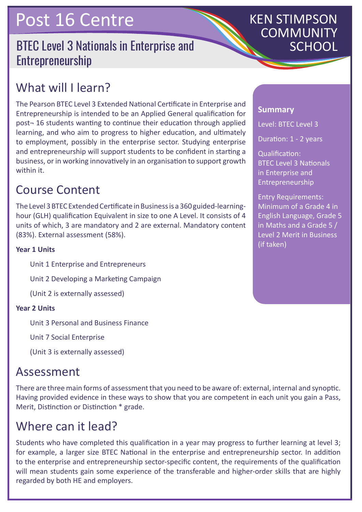## Post 16 Centre

## BTEC Level 3 Nationals in Enterprise and Entrepreneurship

# KEN STIMPSON COMMUNITY

## What will I learn?

The Pearson BTEC Level 3 Extended National Certificate in Enterprise and Entrepreneurship is intended to be an Applied General qualification for post¬ 16 students wanting to continue their education through applied learning, and who aim to progress to higher education, and ultimately to employment, possibly in the enterprise sector. Studying enterprise and entrepreneurship will support students to be confident in starting a business, or in working innovatively in an organisation to support growth within it.

## Course Content

The Level 3 BTEC Extended Certificate in Business is a 360 guided-learninghour (GLH) qualification Equivalent in size to one A Level. It consists of 4 units of which, 3 are mandatory and 2 are external. Mandatory content (83%). External assessment (58%).

#### **Year 1 Units**

Unit 1 Enterprise and Entrepreneurs

Unit 2 Developing a Marketing Campaign

(Unit 2 is externally assessed)

#### **Year 2 Units**

Unit 3 Personal and Business Finance

Unit 7 Social Enterprise

(Unit 3 is externally assessed)

### Assessment

There are three main forms of assessment that you need to be aware of: external, internal and synoptic. Having provided evidence in these ways to show that you are competent in each unit you gain a Pass, Merit, Distinction or Distinction \* grade.

## Where can it lead?

Students who have completed this qualification in a year may progress to further learning at level 3; for example, a larger size BTEC National in the enterprise and entrepreneurship sector. In addition to the enterprise and entrepreneurship sector-specific content, the requirements of the qualification will mean students gain some experience of the transferable and higher-order skills that are highly regarded by both HE and employers.

#### **Summary**

Level: BTEC Level 3

Duration: 1 - 2 years

Qualification: BTEC Level 3 Nationals in Enterprise and Entrepreneurship

Entry Requirements: Minimum of a Grade 4 in English Language, Grade 5 in Maths and a Grade 5 / Level 2 Merit in Business (if taken)